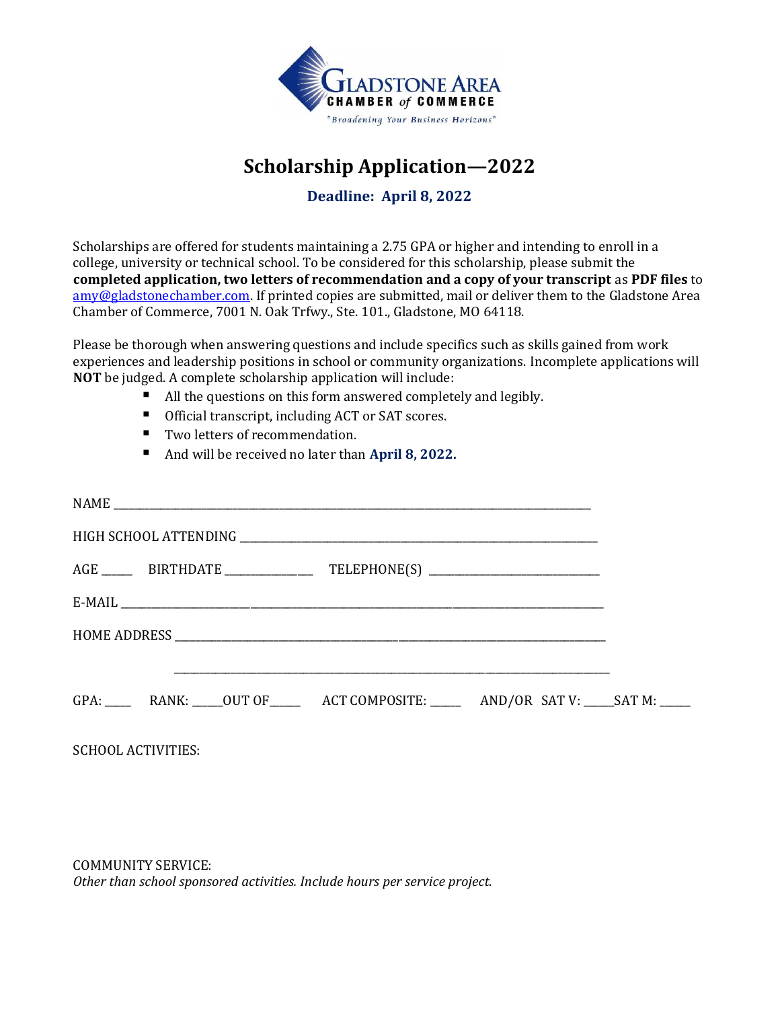

# **Scholarship Application—2022**

**Deadline: April 8, 2022**

Scholarships are offered for students maintaining a 2.75 GPA or higher and intending to enroll in a college, university or technical school. To be considered for this scholarship, please submit the **completed application, two letters of recommendation and a copy of your transcript** as **PDF files** to amy@gladstonechamber.com. If printed copies are submitted, mail or deliver them to the Gladstone Area Chamber of Commerce, 7001 N. Oak Trfwy., Ste. 101., Gladstone, MO 64118.

Please be thorough when answering questions and include specifics such as skills gained from work experiences and leadership positions in school or community organizations. Incomplete applications will **NOT** be judged. A complete scholarship application will include:

- All the questions on this form answered completely and legibly.
- Official transcript, including ACT or SAT scores.
- Two letters of recommendation.
- And will be received no later than **April 8, 2022.**

| AGE _______ BIRTHDATE _____________________ TELEPHONE(S) _______________________          |  |
|-------------------------------------------------------------------------------------------|--|
|                                                                                           |  |
|                                                                                           |  |
| <u> 1980 - Johann John Stoff, fransk politik (f. 1980)</u>                                |  |
| GPA: RANK: ____OUT OF _________ ACT COMPOSITE: __________ AND/OR SAT V: _____SAT M: _____ |  |
| <b>SCHOOL ACTIVITIES:</b>                                                                 |  |

COMMUNITY SERVICE: *Other than school sponsored activities. Include hours per service project.*